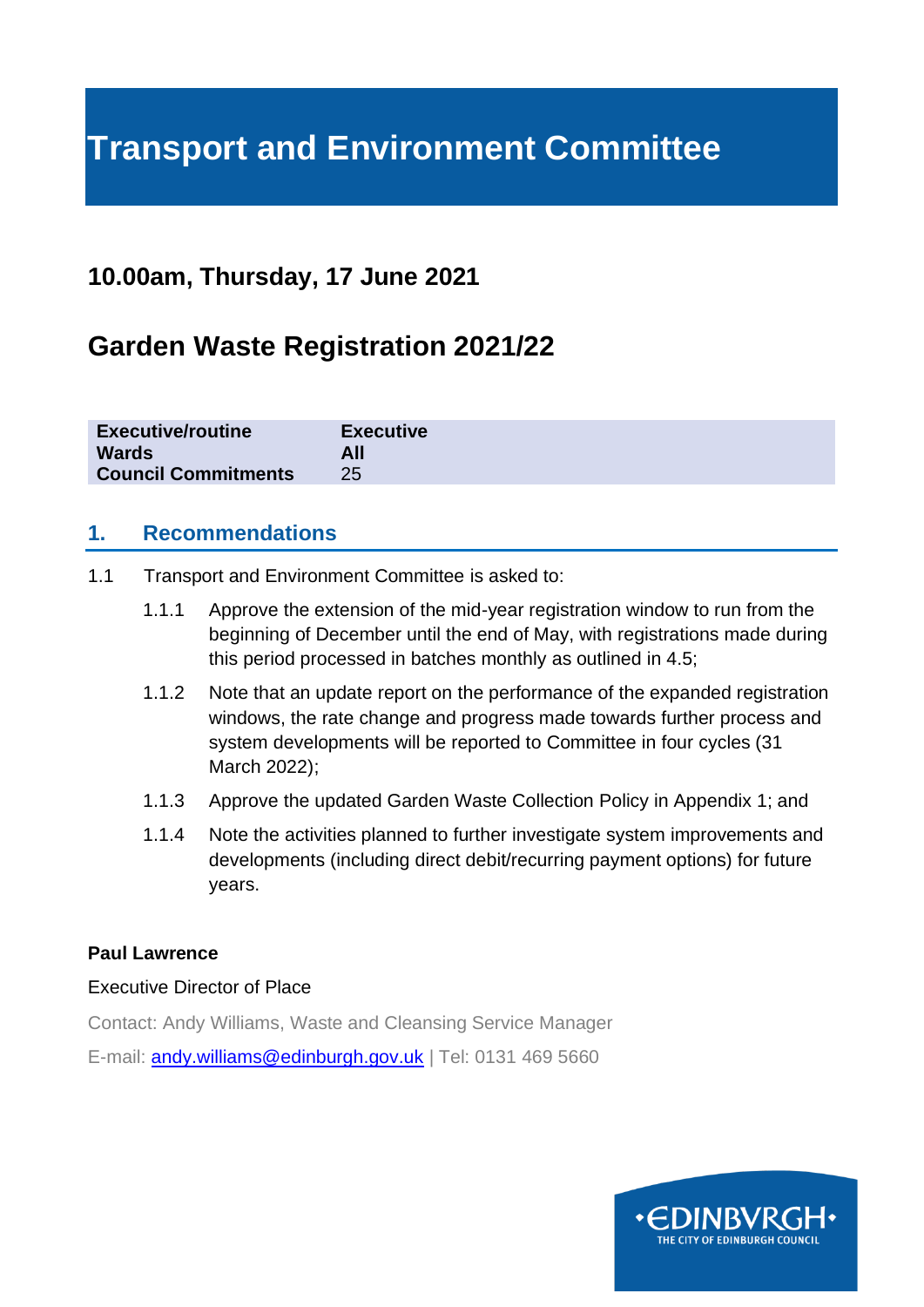# **Transport and Environment Committee**

## **10.00am, Thursday, 17 June 2021**

## **Garden Waste Registration 2021/22**

| <b>Executive/routine</b>   | <b>Executive</b> |
|----------------------------|------------------|
| <b>Wards</b>               | All              |
| <b>Council Commitments</b> | 25               |

## **1. Recommendations**

- 1.1 Transport and Environment Committee is asked to:
	- 1.1.1 Approve the extension of the mid-year registration window to run from the beginning of December until the end of May, with registrations made during this period processed in batches monthly as outlined in 4.5;
	- 1.1.2 Note that an update report on the performance of the expanded registration windows, the rate change and progress made towards further process and system developments will be reported to Committee in four cycles (31 March 2022);
	- 1.1.3 Approve the updated Garden Waste Collection Policy in Appendix 1; and
	- 1.1.4 Note the activities planned to further investigate system improvements and developments (including direct debit/recurring payment options) for future years.

#### **Paul Lawrence**

#### Executive Director of Place

Contact: Andy Williams, Waste and Cleansing Service Manager

E-mail: [andy.williams@edinburgh.gov.uk](mailto:andy.williams@edinburgh.gov.uk) | Tel: 0131 469 5660

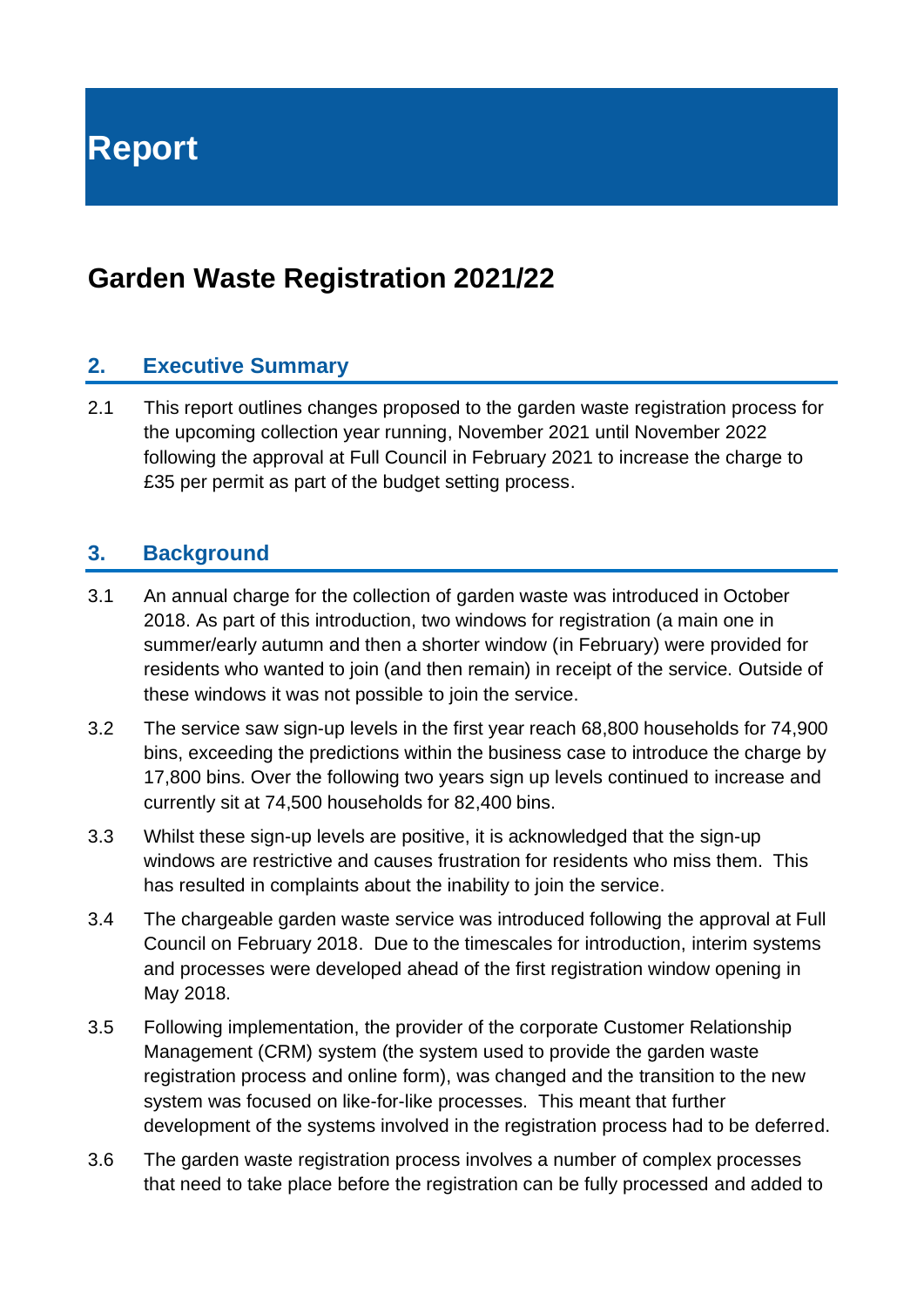**Report**

## **Garden Waste Registration 2021/22**

## **2. Executive Summary**

2.1 This report outlines changes proposed to the garden waste registration process for the upcoming collection year running, November 2021 until November 2022 following the approval at Full Council in February 2021 to increase the charge to £35 per permit as part of the budget setting process.

### **3. Background**

- 3.1 An annual charge for the collection of garden waste was introduced in October 2018. As part of this introduction, two windows for registration (a main one in summer/early autumn and then a shorter window (in February) were provided for residents who wanted to join (and then remain) in receipt of the service. Outside of these windows it was not possible to join the service.
- 3.2 The service saw sign-up levels in the first year reach 68,800 households for 74,900 bins, exceeding the predictions within the business case to introduce the charge by 17,800 bins. Over the following two years sign up levels continued to increase and currently sit at 74,500 households for 82,400 bins.
- 3.3 Whilst these sign-up levels are positive, it is acknowledged that the sign-up windows are restrictive and causes frustration for residents who miss them. This has resulted in complaints about the inability to join the service.
- 3.4 The chargeable garden waste service was introduced following the approval at Full Council on February 2018. Due to the timescales for introduction, interim systems and processes were developed ahead of the first registration window opening in May 2018.
- 3.5 Following implementation, the provider of the corporate Customer Relationship Management (CRM) system (the system used to provide the garden waste registration process and online form), was changed and the transition to the new system was focused on like-for-like processes. This meant that further development of the systems involved in the registration process had to be deferred.
- 3.6 The garden waste registration process involves a number of complex processes that need to take place before the registration can be fully processed and added to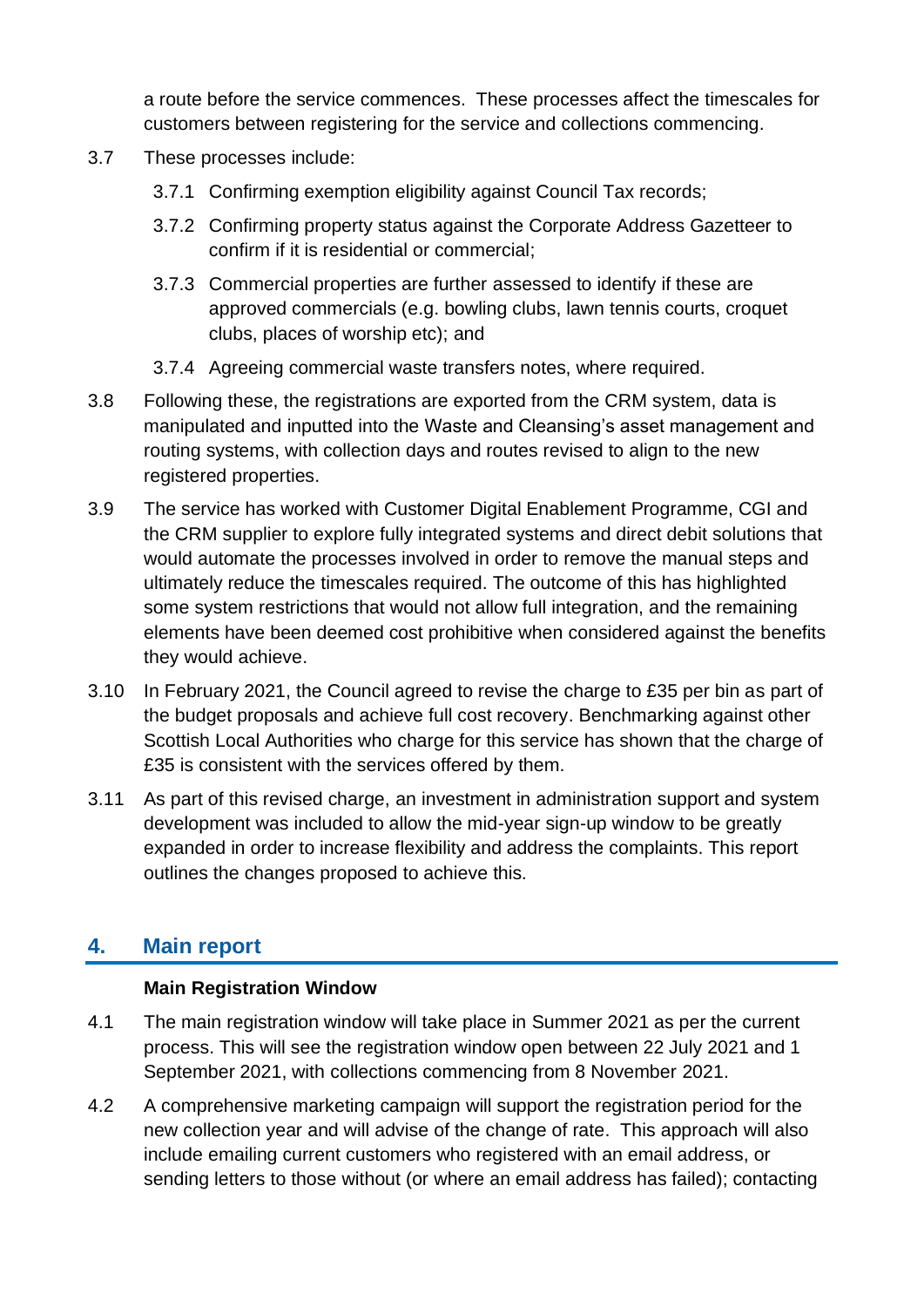a route before the service commences. These processes affect the timescales for customers between registering for the service and collections commencing.

- 3.7 These processes include:
	- 3.7.1 Confirming exemption eligibility against Council Tax records;
	- 3.7.2 Confirming property status against the Corporate Address Gazetteer to confirm if it is residential or commercial;
	- 3.7.3 Commercial properties are further assessed to identify if these are approved commercials (e.g. bowling clubs, lawn tennis courts, croquet clubs, places of worship etc); and
	- 3.7.4 Agreeing commercial waste transfers notes, where required.
- 3.8 Following these, the registrations are exported from the CRM system, data is manipulated and inputted into the Waste and Cleansing's asset management and routing systems, with collection days and routes revised to align to the new registered properties.
- 3.9 The service has worked with Customer Digital Enablement Programme, CGI and the CRM supplier to explore fully integrated systems and direct debit solutions that would automate the processes involved in order to remove the manual steps and ultimately reduce the timescales required. The outcome of this has highlighted some system restrictions that would not allow full integration, and the remaining elements have been deemed cost prohibitive when considered against the benefits they would achieve.
- 3.10 In February 2021, the Council agreed to revise the charge to £35 per bin as part of the budget proposals and achieve full cost recovery. Benchmarking against other Scottish Local Authorities who charge for this service has shown that the charge of £35 is consistent with the services offered by them.
- 3.11 As part of this revised charge, an investment in administration support and system development was included to allow the mid-year sign-up window to be greatly expanded in order to increase flexibility and address the complaints. This report outlines the changes proposed to achieve this.

## **4. Main report**

#### **Main Registration Window**

- 4.1 The main registration window will take place in Summer 2021 as per the current process. This will see the registration window open between 22 July 2021 and 1 September 2021, with collections commencing from 8 November 2021.
- 4.2 A comprehensive marketing campaign will support the registration period for the new collection year and will advise of the change of rate. This approach will also include emailing current customers who registered with an email address, or sending letters to those without (or where an email address has failed); contacting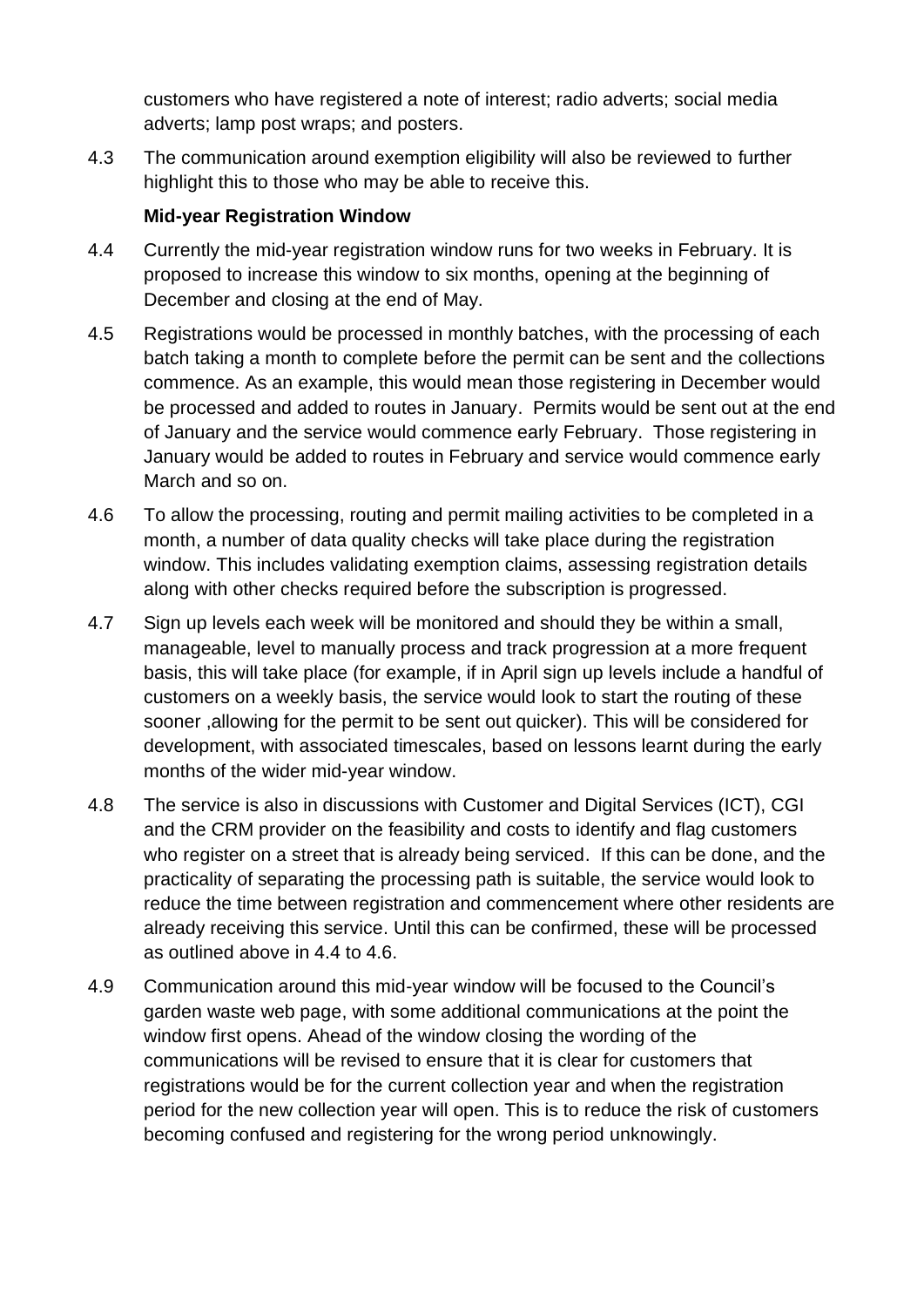customers who have registered a note of interest; radio adverts; social media adverts; lamp post wraps; and posters.

4.3 The communication around exemption eligibility will also be reviewed to further highlight this to those who may be able to receive this.

## **Mid-year Registration Window**

- 4.4 Currently the mid-year registration window runs for two weeks in February. It is proposed to increase this window to six months, opening at the beginning of December and closing at the end of May.
- 4.5 Registrations would be processed in monthly batches, with the processing of each batch taking a month to complete before the permit can be sent and the collections commence. As an example, this would mean those registering in December would be processed and added to routes in January. Permits would be sent out at the end of January and the service would commence early February. Those registering in January would be added to routes in February and service would commence early March and so on.
- 4.6 To allow the processing, routing and permit mailing activities to be completed in a month, a number of data quality checks will take place during the registration window. This includes validating exemption claims, assessing registration details along with other checks required before the subscription is progressed.
- 4.7 Sign up levels each week will be monitored and should they be within a small, manageable, level to manually process and track progression at a more frequent basis, this will take place (for example, if in April sign up levels include a handful of customers on a weekly basis, the service would look to start the routing of these sooner ,allowing for the permit to be sent out quicker). This will be considered for development, with associated timescales, based on lessons learnt during the early months of the wider mid-year window.
- 4.8 The service is also in discussions with Customer and Digital Services (ICT), CGI and the CRM provider on the feasibility and costs to identify and flag customers who register on a street that is already being serviced. If this can be done, and the practicality of separating the processing path is suitable, the service would look to reduce the time between registration and commencement where other residents are already receiving this service. Until this can be confirmed, these will be processed as outlined above in 4.4 to 4.6.
- 4.9 Communication around this mid-year window will be focused to the Council's garden waste web page, with some additional communications at the point the window first opens. Ahead of the window closing the wording of the communications will be revised to ensure that it is clear for customers that registrations would be for the current collection year and when the registration period for the new collection year will open. This is to reduce the risk of customers becoming confused and registering for the wrong period unknowingly.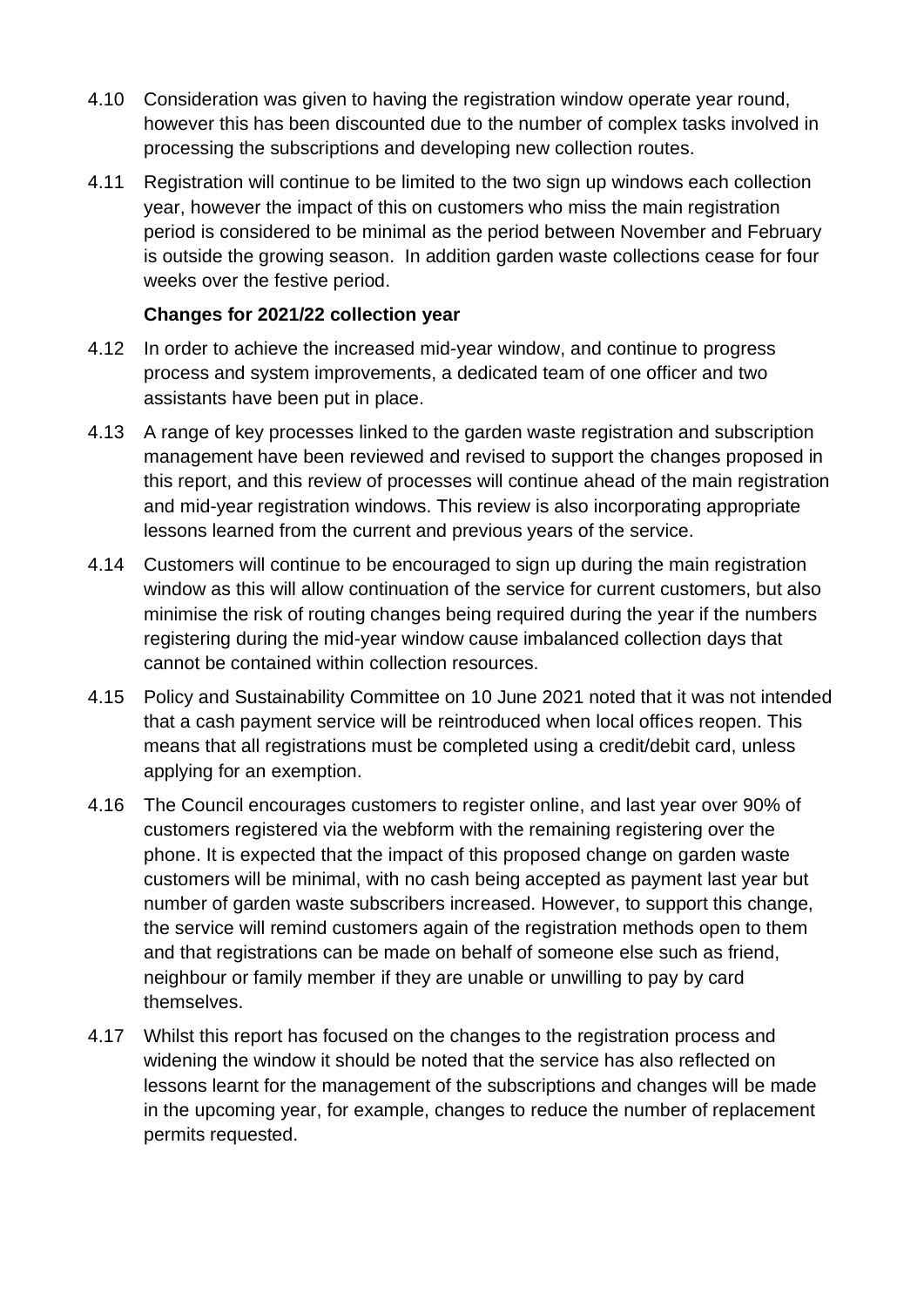- 4.10 Consideration was given to having the registration window operate year round, however this has been discounted due to the number of complex tasks involved in processing the subscriptions and developing new collection routes.
- 4.11 Registration will continue to be limited to the two sign up windows each collection year, however the impact of this on customers who miss the main registration period is considered to be minimal as the period between November and February is outside the growing season. In addition garden waste collections cease for four weeks over the festive period.

### **Changes for 2021/22 collection year**

- 4.12 In order to achieve the increased mid-year window, and continue to progress process and system improvements, a dedicated team of one officer and two assistants have been put in place.
- 4.13 A range of key processes linked to the garden waste registration and subscription management have been reviewed and revised to support the changes proposed in this report, and this review of processes will continue ahead of the main registration and mid-year registration windows. This review is also incorporating appropriate lessons learned from the current and previous years of the service.
- 4.14 Customers will continue to be encouraged to sign up during the main registration window as this will allow continuation of the service for current customers, but also minimise the risk of routing changes being required during the year if the numbers registering during the mid-year window cause imbalanced collection days that cannot be contained within collection resources.
- 4.15 Policy and Sustainability Committee on 10 June 2021 noted that it was not intended that a cash payment service will be reintroduced when local offices reopen. This means that all registrations must be completed using a credit/debit card, unless applying for an exemption.
- 4.16 The Council encourages customers to register online, and last year over 90% of customers registered via the webform with the remaining registering over the phone. It is expected that the impact of this proposed change on garden waste customers will be minimal, with no cash being accepted as payment last year but number of garden waste subscribers increased. However, to support this change, the service will remind customers again of the registration methods open to them and that registrations can be made on behalf of someone else such as friend, neighbour or family member if they are unable or unwilling to pay by card themselves.
- 4.17 Whilst this report has focused on the changes to the registration process and widening the window it should be noted that the service has also reflected on lessons learnt for the management of the subscriptions and changes will be made in the upcoming year, for example, changes to reduce the number of replacement permits requested.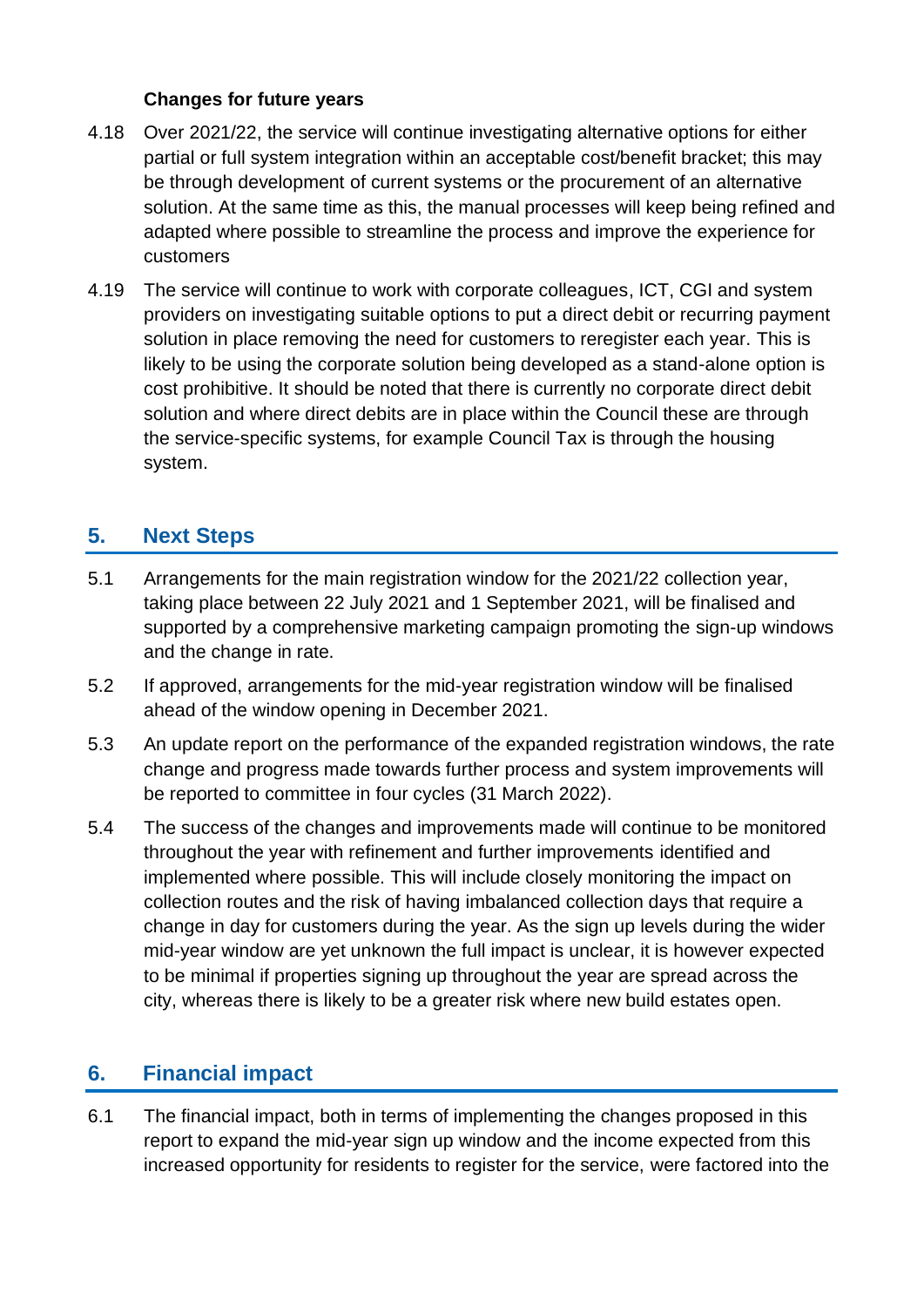#### **Changes for future years**

- 4.18 Over 2021/22, the service will continue investigating alternative options for either partial or full system integration within an acceptable cost/benefit bracket; this may be through development of current systems or the procurement of an alternative solution. At the same time as this, the manual processes will keep being refined and adapted where possible to streamline the process and improve the experience for customers
- 4.19 The service will continue to work with corporate colleagues, ICT, CGI and system providers on investigating suitable options to put a direct debit or recurring payment solution in place removing the need for customers to reregister each year. This is likely to be using the corporate solution being developed as a stand-alone option is cost prohibitive. It should be noted that there is currently no corporate direct debit solution and where direct debits are in place within the Council these are through the service-specific systems, for example Council Tax is through the housing system.

## **5. Next Steps**

- 5.1 Arrangements for the main registration window for the 2021/22 collection year, taking place between 22 July 2021 and 1 September 2021, will be finalised and supported by a comprehensive marketing campaign promoting the sign-up windows and the change in rate.
- 5.2 If approved, arrangements for the mid-year registration window will be finalised ahead of the window opening in December 2021.
- 5.3 An update report on the performance of the expanded registration windows, the rate change and progress made towards further process and system improvements will be reported to committee in four cycles (31 March 2022).
- 5.4 The success of the changes and improvements made will continue to be monitored throughout the year with refinement and further improvements identified and implemented where possible. This will include closely monitoring the impact on collection routes and the risk of having imbalanced collection days that require a change in day for customers during the year. As the sign up levels during the wider mid-year window are yet unknown the full impact is unclear, it is however expected to be minimal if properties signing up throughout the year are spread across the city, whereas there is likely to be a greater risk where new build estates open.

## **6. Financial impact**

6.1 The financial impact, both in terms of implementing the changes proposed in this report to expand the mid-year sign up window and the income expected from this increased opportunity for residents to register for the service, were factored into the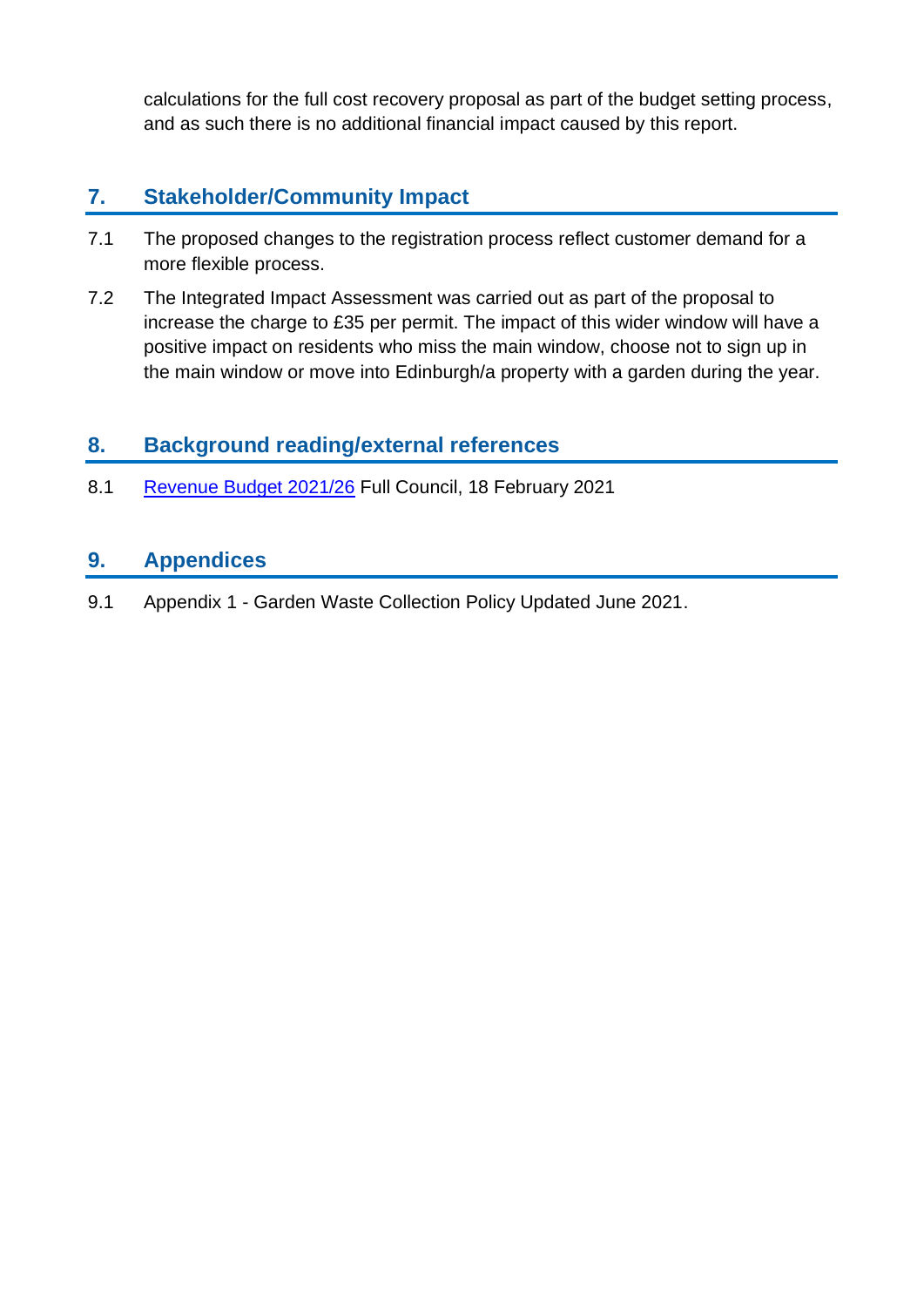calculations for the full cost recovery proposal as part of the budget setting process, and as such there is no additional financial impact caused by this report.

## **7. Stakeholder/Community Impact**

- 7.1 The proposed changes to the registration process reflect customer demand for a more flexible process.
- 7.2 The Integrated Impact Assessment was carried out as part of the proposal to increase the charge to £35 per permit. The impact of this wider window will have a positive impact on residents who miss the main window, choose not to sign up in the main window or move into Edinburgh/a property with a garden during the year.

## **8. Background reading/external references**

8.1 [Revenue Budget 2021/26](https://democracy.edinburgh.gov.uk/documents/s31430/Item%204.1a%20-%20Council%20Business%20Plan%20and%20Budget%20-%20Referral%20from%20the%20FR%20Cttee.pdf) Full Council, 18 February 2021

## **9. Appendices**

9.1 Appendix 1 - Garden Waste Collection Policy Updated June 2021.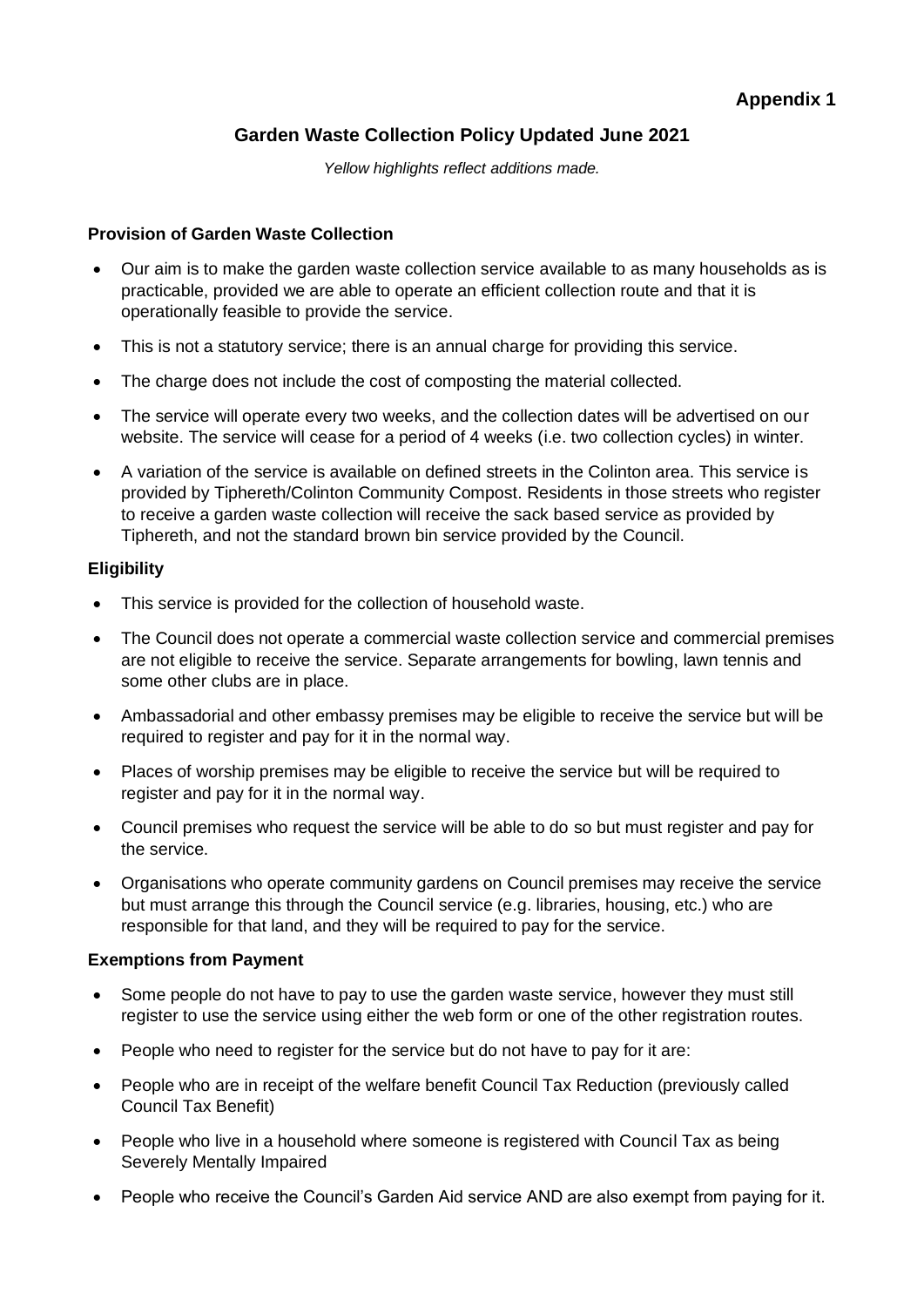### **Garden Waste Collection Policy Updated June 2021**

*Yellow highlights reflect additions made.*

#### **Provision of Garden Waste Collection**

- Our aim is to make the garden waste collection service available to as many households as is practicable, provided we are able to operate an efficient collection route and that it is operationally feasible to provide the service.
- This is not a statutory service; there is an annual charge for providing this service.
- The charge does not include the cost of composting the material collected.
- The service will operate every two weeks, and the collection dates will be advertised on our website. The service will cease for a period of 4 weeks (i.e. two collection cycles) in winter.
- A variation of the service is available on defined streets in the Colinton area. This service is provided by Tiphereth/Colinton Community Compost. Residents in those streets who register to receive a garden waste collection will receive the sack based service as provided by Tiphereth, and not the standard brown bin service provided by the Council.

#### **Eligibility**

- This service is provided for the collection of household waste.
- The Council does not operate a commercial waste collection service and commercial premises are not eligible to receive the service. Separate arrangements for bowling, lawn tennis and some other clubs are in place.
- Ambassadorial and other embassy premises may be eligible to receive the service but will be required to register and pay for it in the normal way.
- Places of worship premises may be eligible to receive the service but will be required to register and pay for it in the normal way.
- Council premises who request the service will be able to do so but must register and pay for the service.
- Organisations who operate community gardens on Council premises may receive the service but must arrange this through the Council service (e.g. libraries, housing, etc.) who are responsible for that land, and they will be required to pay for the service.

#### **Exemptions from Payment**

- Some people do not have to pay to use the garden waste service, however they must still register to use the service using either the web form or one of the other registration routes.
- People who need to register for the service but do not have to pay for it are:
- People who are in receipt of the welfare benefit Council Tax Reduction (previously called Council Tax Benefit)
- People who live in a household where someone is registered with Council Tax as being Severely Mentally Impaired
- People who receive the Council's Garden Aid service AND are also exempt from paying for it.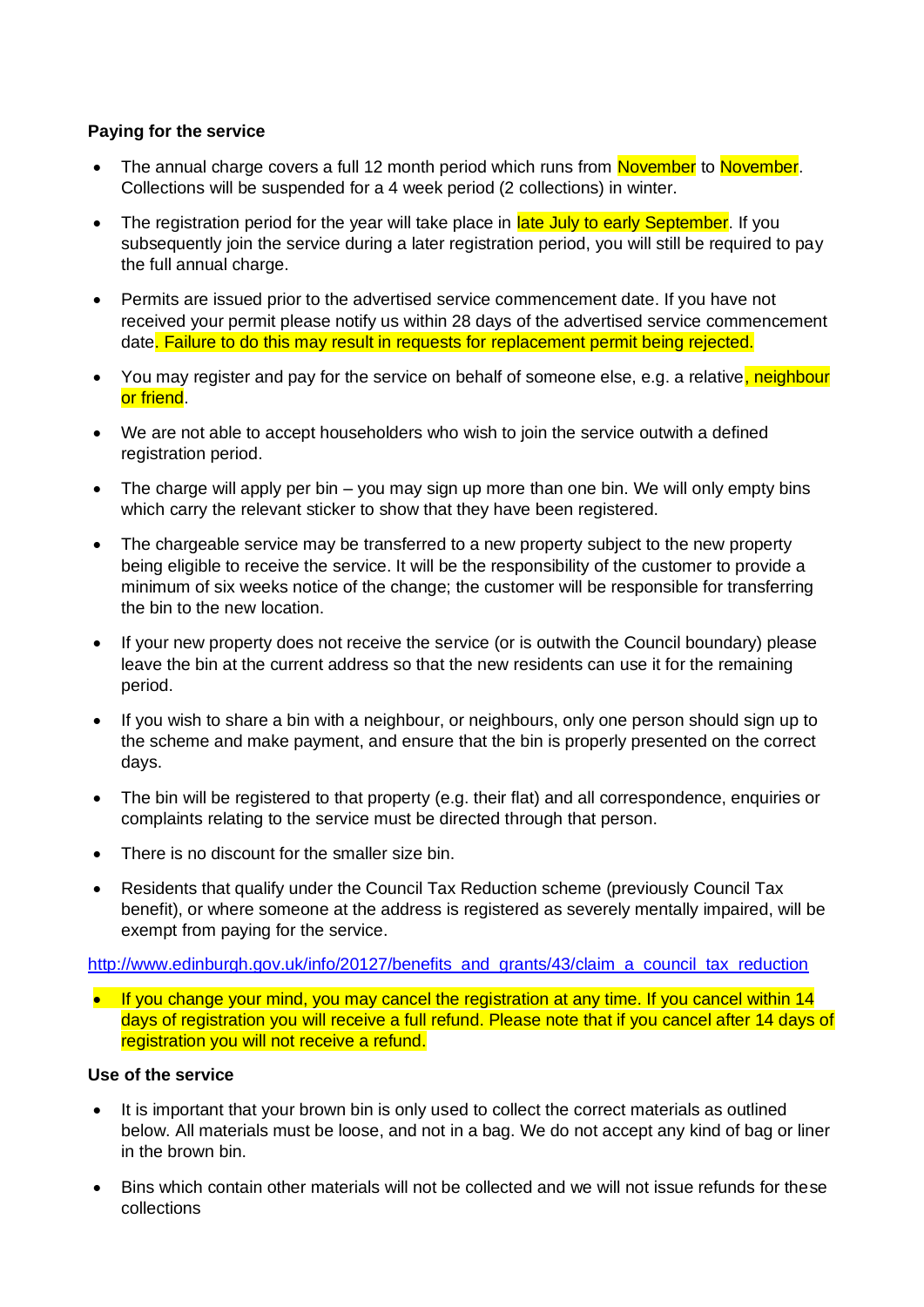#### **Paying for the service**

- The annual charge covers a full 12 month period which runs from November to November. Collections will be suspended for a 4 week period (2 collections) in winter.
- The registration period for the year will take place in late July to early September. If you subsequently join the service during a later registration period, you will still be required to pay the full annual charge.
- Permits are issued prior to the advertised service commencement date. If you have not received your permit please notify us within 28 days of the advertised service commencement date. Failure to do this may result in requests for replacement permit being rejected.
- You may register and pay for the service on behalf of someone else, e.g. a relative, neighbour or friend.
- We are not able to accept householders who wish to join the service outwith a defined registration period.
- The charge will apply per bin  $-$  you may sign up more than one bin. We will only empty bins which carry the relevant sticker to show that they have been registered.
- The chargeable service may be transferred to a new property subject to the new property being eligible to receive the service. It will be the responsibility of the customer to provide a minimum of six weeks notice of the change; the customer will be responsible for transferring the bin to the new location.
- If your new property does not receive the service (or is outwith the Council boundary) please leave the bin at the current address so that the new residents can use it for the remaining period.
- If you wish to share a bin with a neighbour, or neighbours, only one person should sign up to the scheme and make payment, and ensure that the bin is properly presented on the correct days.
- The bin will be registered to that property (e.g. their flat) and all correspondence, enquiries or complaints relating to the service must be directed through that person.
- There is no discount for the smaller size bin.
- Residents that qualify under the Council Tax Reduction scheme (previously Council Tax benefit), or where someone at the address is registered as severely mentally impaired, will be exempt from paying for the service.

[http://www.edinburgh.gov.uk/info/20127/benefits\\_and\\_grants/43/claim\\_a\\_council\\_tax\\_reduction](http://www.edinburgh.gov.uk/info/20127/benefits_and_grants/43/claim_a_council_tax_reduction)

• If you change your mind, you may cancel the registration at any time. If you cancel within 14 days of registration you will receive a full refund. Please note that if you cancel after 14 days of registration you will not receive a refund.

#### **Use of the service**

- It is important that your brown bin is only used to collect the correct materials as outlined below. All materials must be loose, and not in a bag. We do not accept any kind of bag or liner in the brown bin.
- Bins which contain other materials will not be collected and we will not issue refunds for these collections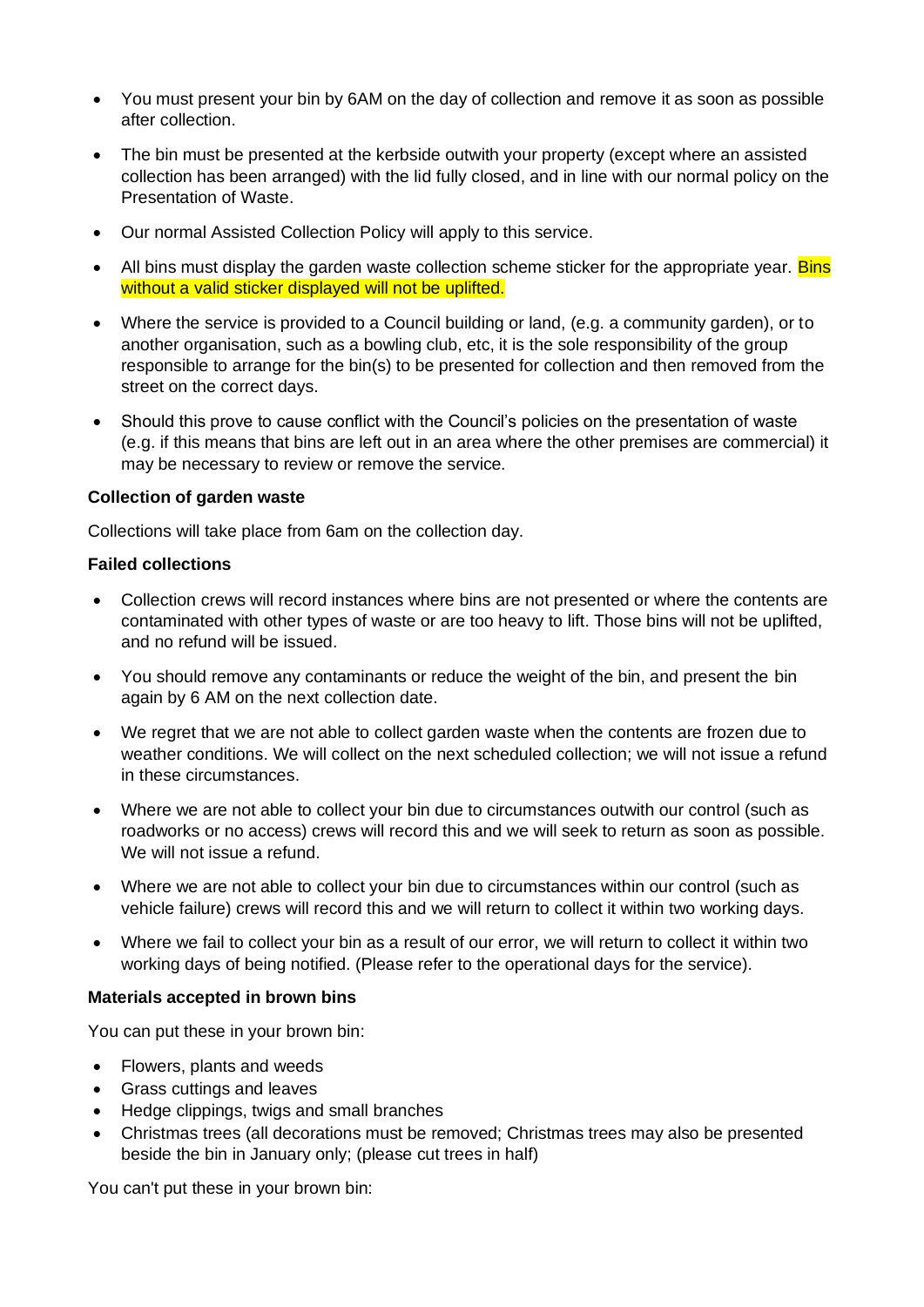- You must present your bin by 6AM on the day of collection and remove it as soon as possible after collection.
- The bin must be presented at the kerbside outwith your property (except where an assisted collection has been arranged) with the lid fully closed, and in line with our normal policy on the Presentation of Waste.
- Our normal Assisted Collection Policy will apply to this service.
- All bins must display the garden waste collection scheme sticker for the appropriate year. Bins without a valid sticker displayed will not be uplifted.
- Where the service is provided to a Council building or land, (e.g. a community garden), or to another organisation, such as a bowling club, etc, it is the sole responsibility of the group responsible to arrange for the bin(s) to be presented for collection and then removed from the street on the correct days.
- Should this prove to cause conflict with the Council's policies on the presentation of waste (e.g. if this means that bins are left out in an area where the other premises are commercial) it may be necessary to review or remove the service.

#### **Collection of garden waste**

Collections will take place from 6am on the collection day.

#### **Failed collections**

- Collection crews will record instances where bins are not presented or where the contents are contaminated with other types of waste or are too heavy to lift. Those bins will not be uplifted, and no refund will be issued.
- You should remove any contaminants or reduce the weight of the bin, and present the bin again by 6 AM on the next collection date.
- We regret that we are not able to collect garden waste when the contents are frozen due to weather conditions. We will collect on the next scheduled collection; we will not issue a refund in these circumstances.
- Where we are not able to collect your bin due to circumstances outwith our control (such as roadworks or no access) crews will record this and we will seek to return as soon as possible. We will not issue a refund.
- Where we are not able to collect your bin due to circumstances within our control (such as vehicle failure) crews will record this and we will return to collect it within two working days.
- Where we fail to collect your bin as a result of our error, we will return to collect it within two working days of being notified. (Please refer to the operational days for the service).

#### **Materials accepted in brown bins**

You can put these in your brown bin:

- Flowers, plants and weeds
- Grass cuttings and leaves
- Hedge clippings, twigs and small branches
- Christmas trees (all decorations must be removed; Christmas trees may also be presented beside the bin in January only; (please cut trees in half)

You can't put these in your brown bin: